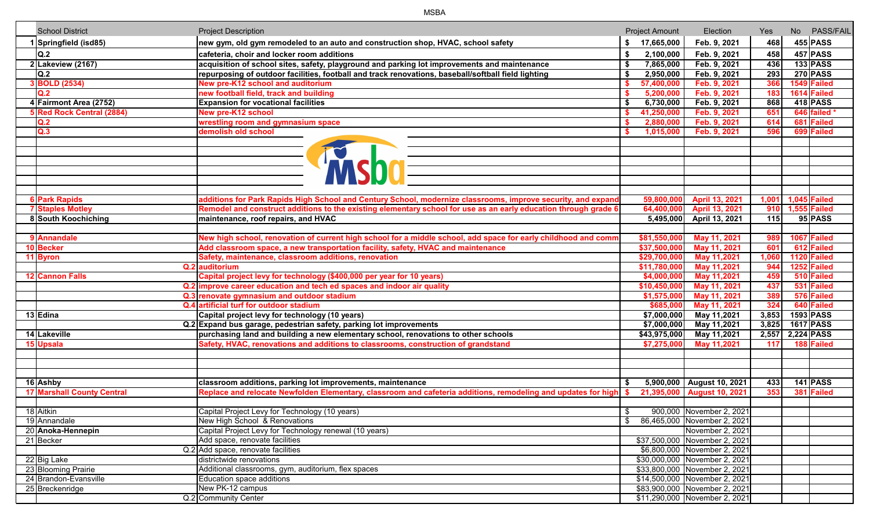| <b>School District</b>             | <b>Project Description</b>                                                                                          |                | <b>Project Amount</b> | Election                                                      | Yes:  | No PASS/FAIL        |
|------------------------------------|---------------------------------------------------------------------------------------------------------------------|----------------|-----------------------|---------------------------------------------------------------|-------|---------------------|
| 1 Springfield (isd85)              | new gym, old gym remodeled to an auto and construction shop, HVAC, school safety                                    |                | \$ 17,665,000         | Feb. 9, 2021                                                  | 468   | $455$ PASS          |
| Q.2                                | cafeteria, choir and locker room additions                                                                          | \$             | 2,100,000             | Feb. 9, 2021                                                  | 458   | $457$ PASS          |
| $2$ Lakeview (2167)                | acquisition of school sites, safety, playground and parking lot improvements and maintenance                        | \$             | 7,865,000             | Feb. 9, 2021                                                  | 436   | $133$ PASS          |
| Q.2                                | repurposing of outdoor facilities, football and track renovations, baseball/softball field lighting                 | Ŝ.             | 2,950,000             | Feb. 9, 2021                                                  | 293   | <b>270 PASS</b>     |
| 3 BOLD (2534)                      | New pre-K12 school and auditorium                                                                                   |                | 57,400,000            | Feb. 9, 2021                                                  | 366   | 1549 Failed         |
| Q.2                                | new football field, track and building                                                                              |                | 5,200,000             | Feb. 9, 2021                                                  | 183   | 1614 Failed         |
| 4 Fairmont Area (2752)             | <b>Expansion for vocational facilities</b>                                                                          |                | 6,730,000             | Feb. 9, 2021                                                  | 868   | $418$ PASS          |
| 5 Red Rock Central (2884)          | <b>New pre-K12 school</b>                                                                                           |                | 41,250,000            | Feb. 9, 2021                                                  | 651   | 646 failed *        |
| Q.2                                | wrestling room and gymnasium space                                                                                  |                | 2,880,000             | Feb. 9, 2021                                                  | 614   | 681 Failed          |
| Q.3                                | demolish old school                                                                                                 |                | 1,015,000             | Feb. 9, 2021                                                  | 596   | 699 Failed          |
|                                    |                                                                                                                     |                |                       |                                                               |       |                     |
|                                    |                                                                                                                     |                |                       |                                                               |       |                     |
|                                    |                                                                                                                     |                |                       |                                                               |       |                     |
|                                    |                                                                                                                     |                |                       |                                                               |       |                     |
|                                    |                                                                                                                     |                |                       |                                                               |       |                     |
|                                    |                                                                                                                     |                |                       |                                                               |       |                     |
| <b>6 Park Rapids</b>               | additions for Park Rapids High School and Century School, modernize classrooms, improve security, and expand        |                | 59,800,000            | April 13, 2021                                                | 1,001 | <b>1,045 Failed</b> |
| <b>7 Staples Motley</b>            | Remodel and construct additions to the existing elementary school for use as an early education through grade 6     |                | 64,400,000            | April 13, 2021                                                | 910   | <b>1,555 Failed</b> |
| 8 South Koochiching                | maintenance, roof repairs, and HVAC                                                                                 |                |                       | 5,495,000 April 13, 2021                                      | 115   | 95 PASS             |
|                                    |                                                                                                                     |                |                       |                                                               |       |                     |
| 9 Annandale                        | New high school, renovation of current high school for a middle school, add space for early childhood and comm      |                | \$81,550,000          | May 11, 2021                                                  | 989   | 1067 Failed         |
| 10 Becker                          | Add classroom space, a new transportation facility, safety, HVAC and maintenance                                    |                | \$37,500,000          | May 11, 2021                                                  | 601   | 612 Failed          |
| 11 Byron                           | Safety, maintenance, classroom additions, renovation                                                                |                | \$29,700,000          | May 11,2021                                                   | 1,060 | 1120 Failed         |
|                                    | Q.2 auditorium                                                                                                      |                | \$11,780,000          | May 11,2021                                                   | 944   | 1252 Failed         |
| 12 Cannon Falls                    | Capital project levy for technology (\$400,000 per year for 10 years)                                               |                | \$4,000,000           | May 11,2021                                                   | 459   | 510 Failed          |
|                                    | Q.2 improve career education and tech ed spaces and indoor air quality                                              |                | \$10,450,000          | May 11, 2021                                                  | 437   | 531 Failed          |
|                                    | Q.3 renovate gymnasium and outdoor stadium                                                                          |                | \$1,575,000           | May 11, 2021                                                  | 389   | 576 Failed          |
|                                    | Q.4 artificial turf for outdoor stadium                                                                             |                | \$685,000             | May 11, 2021                                                  | 324   | 640 Failed          |
| 13 Edina                           | Capital project levy for technology (10 years)                                                                      |                | \$7,000,000           | May 11,2021                                                   | 3,853 | <b>1593 PASS</b>    |
|                                    | Q.2 Expand bus garage, pedestrian safety, parking lot improvements                                                  |                | \$7,000,000           | May 11,2021                                                   | 3,825 | <b>1617 PASS</b>    |
| 14 Lakeville                       | purchasing land and building a new elementary school, renovations to other schools                                  |                | \$43,975,000          | May 11,2021                                                   | 2,557 | 2,224 PASS          |
| 15 Upsala                          | Safety, HVAC, renovations and additions to classrooms, construction of grandstand                                   |                | \$7,275,000           | May 11,2021                                                   | 117   | 188 Failed          |
|                                    |                                                                                                                     |                |                       |                                                               |       |                     |
|                                    |                                                                                                                     |                |                       |                                                               |       |                     |
|                                    |                                                                                                                     |                |                       |                                                               |       |                     |
| 16 Ashby                           | classroom additions, parking lot improvements, maintenance                                                          |                |                       | 5,900,000 August 10, 2021                                     | 433   | $141$ PASS          |
| <b>17 Marshall County Central</b>  | Replace and relocate Newfolden Elementary, classroom and cafeteria additions, remodeling and updates for high $ \$$ |                |                       | 21,395,000 August 10, 2021                                    | 353   | 381 Failed          |
|                                    |                                                                                                                     |                |                       |                                                               |       |                     |
| 18 Aitkin                          | Capital Project Levy for Technology (10 years)                                                                      | $\mathfrak{S}$ |                       | 900,000 November 2, 2021                                      |       |                     |
| 19 Annandale                       | New High School & Renovations                                                                                       |                |                       | \$ 86,465,000 November 2, 2021                                |       |                     |
| 20 Anoka-Hennepin                  | Capital Project Levy for Technology renewal (10 years)<br>Add space, renovate facilities                            |                |                       | November 2, 2021                                              |       |                     |
| 21 Becker                          | Q.2 Add space, renovate facilities                                                                                  |                |                       | \$37,500,000 November 2, 2021<br>\$6,800,000 November 2, 2021 |       |                     |
|                                    | districtwide renovations                                                                                            |                |                       | \$30,000,000 November 2, 2021                                 |       |                     |
| 22 Big Lake<br>23 Blooming Prairie | Additional classrooms, gym, auditorium, flex spaces                                                                 |                |                       | \$33,800,000 November 2, 2021                                 |       |                     |
| 24 Brandon-Evansville              | Education space additions                                                                                           |                |                       | \$14,500,000 November 2, 2021                                 |       |                     |
| 25 Breckenridge                    | New PK-12 campus                                                                                                    |                |                       | \$83,900,000 November 2, 2021                                 |       |                     |
|                                    | Q.2 Community Center                                                                                                |                |                       | \$11,290,000 November 2, 2021                                 |       |                     |
|                                    |                                                                                                                     |                |                       |                                                               |       |                     |